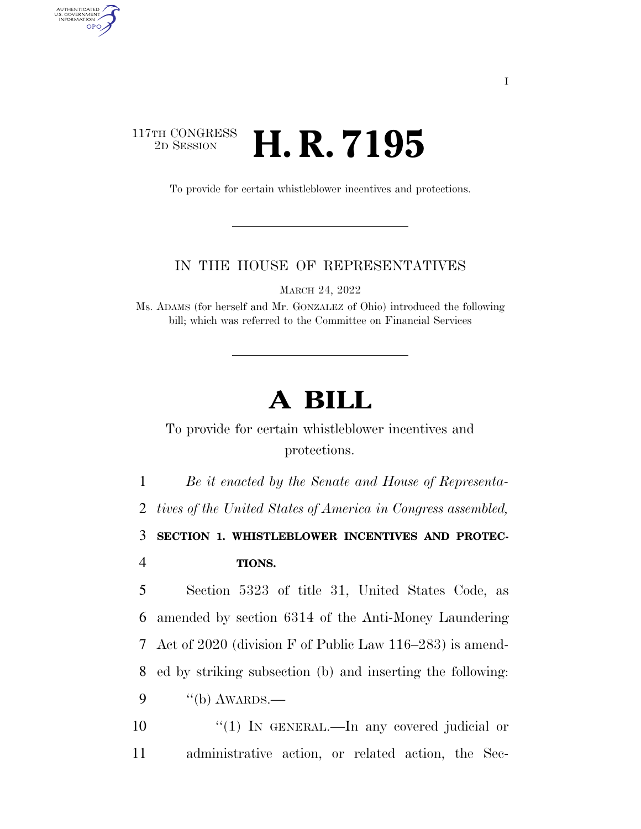## 117TH CONGRESS<br>2D SESSION 2D SESSION **H. R. 7195**

AUTHENTICATED<br>U.S. GOVERNMENT<br>INFORMATION GPO

To provide for certain whistleblower incentives and protections.

## IN THE HOUSE OF REPRESENTATIVES

MARCH 24, 2022

Ms. ADAMS (for herself and Mr. GONZALEZ of Ohio) introduced the following bill; which was referred to the Committee on Financial Services

## **A BILL**

To provide for certain whistleblower incentives and protections.

 *Be it enacted by the Senate and House of Representa- tives of the United States of America in Congress assembled,*  **SECTION 1. WHISTLEBLOWER INCENTIVES AND PROTEC-**4 **TIONS.** 

 Section 5323 of title 31, United States Code, as amended by section 6314 of the Anti-Money Laundering Act of 2020 (division F of Public Law 116–283) is amend- ed by striking subsection (b) and inserting the following: "(b) AWARDS.—

10  $\frac{10}{10}$  IN GENERAL.—In any covered judicial or 11 administrative action, or related action, the Sec-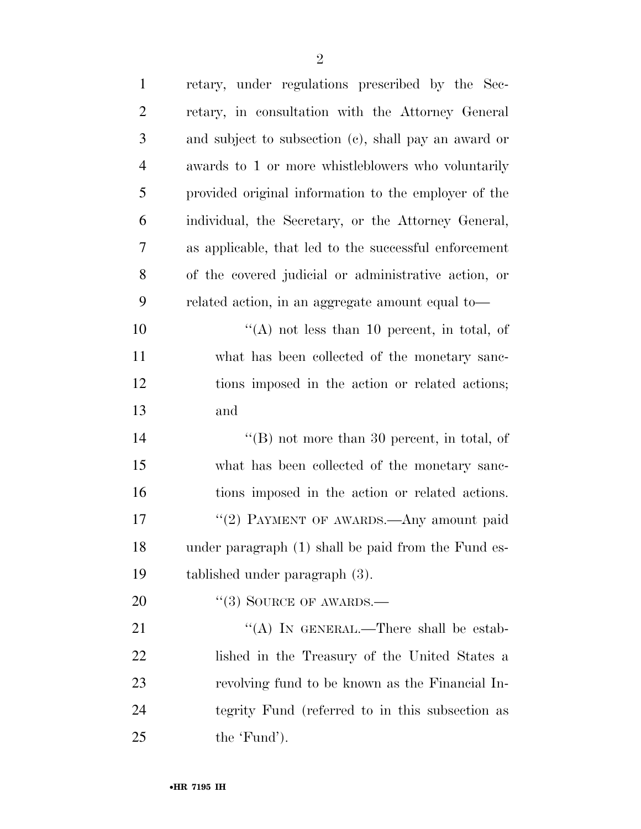| $\mathbf{1}$   | retary, under regulations prescribed by the Sec-      |
|----------------|-------------------------------------------------------|
| $\overline{2}$ | retary, in consultation with the Attorney General     |
| 3              | and subject to subsection (c), shall pay an award or  |
| 4              | awards to 1 or more whistleblowers who voluntarily    |
| 5              | provided original information to the employer of the  |
| 6              | individual, the Secretary, or the Attorney General,   |
| 7              | as applicable, that led to the successful enforcement |
| 8              | of the covered judicial or administrative action, or  |
| 9              | related action, in an aggregate amount equal to-      |
| 10             | "(A) not less than 10 percent, in total, of           |
| 11             | what has been collected of the monetary sanc-         |
| 12             | tions imposed in the action or related actions;       |
| 13             | and                                                   |
| 14             | " $(B)$ not more than 30 percent, in total, of        |
| 15             | what has been collected of the monetary sanc-         |
| 16             | tions imposed in the action or related actions.       |
| 17             | "(2) PAYMENT OF AWARDS.—Any amount paid               |
| 18             | under paragraph (1) shall be paid from the Fund es-   |
| 19             | tablished under paragraph (3).                        |
| 20             | $\lq(3)$ SOURCE OF AWARDS.—                           |
| 21             | "(A) IN GENERAL.—There shall be estab-                |
| 22             | lished in the Treasury of the United States a         |
| 23             | revolving fund to be known as the Financial In-       |
| 24             | tegrity Fund (referred to in this subsection as       |
| 25             | the 'Fund').                                          |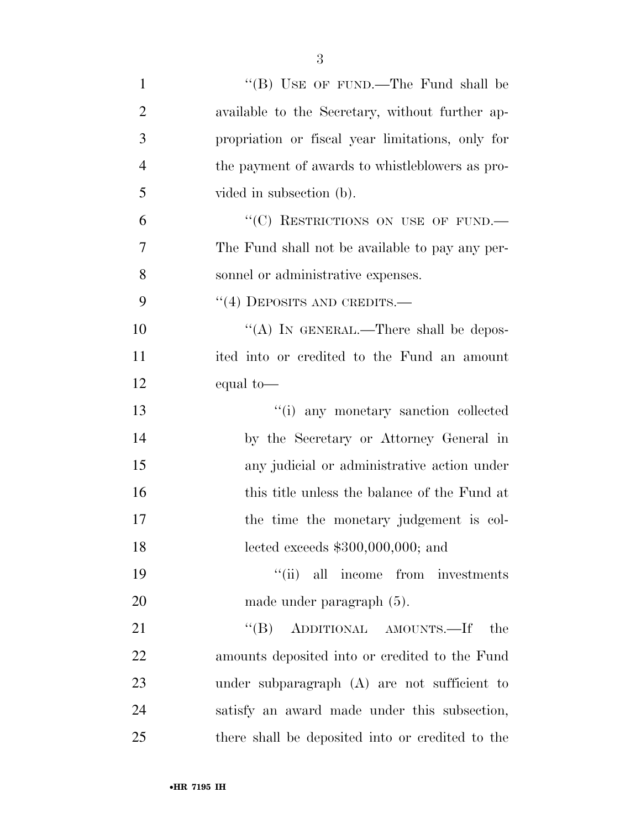| $\mathbf{1}$   | "(B) USE OF FUND.—The Fund shall be              |
|----------------|--------------------------------------------------|
| $\overline{2}$ | available to the Secretary, without further ap-  |
| 3              | propriation or fiscal year limitations, only for |
| $\overline{4}$ | the payment of awards to whistleblowers as pro-  |
| 5              | vided in subsection (b).                         |
| 6              | "(C) RESTRICTIONS ON USE OF FUND.                |
| 7              | The Fund shall not be available to pay any per-  |
| 8              | sonnel or administrative expenses.               |
| 9              | $``(4)$ DEPOSITS AND CREDITS.—                   |
| 10             | "(A) IN GENERAL.—There shall be depos-           |
| 11             | ited into or credited to the Fund an amount      |
| 12             | equal to-                                        |
| 13             | "(i) any monetary sanction collected             |
| 14             | by the Secretary or Attorney General in          |
| 15             | any judicial or administrative action under      |
| 16             | this title unless the balance of the Fund at     |
| 17             | the time the monetary judgement is col-          |
| 18             | lected exceeds $$300,000,000$ ; and              |
| 19             | "(ii) all income from investments                |
| 20             | made under paragraph (5).                        |
| 21             | "(B) ADDITIONAL AMOUNTS.—If<br>the               |
| 22             | amounts deposited into or credited to the Fund   |
| 23             | under subparagraph (A) are not sufficient to     |
| 24             | satisfy an award made under this subsection,     |
| 25             | there shall be deposited into or credited to the |